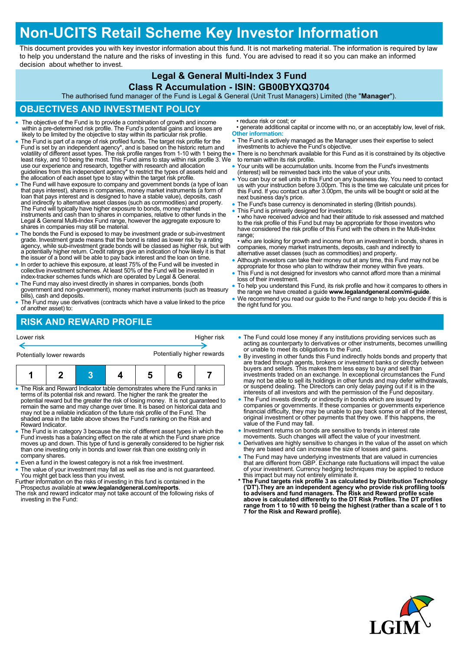# **Non-UCITS Retail Scheme Key Investor Information**

This document provides you with key investor information about this fund. It is not marketing material. The information is required by law to help you understand the nature and the risks of investing in this fund. You are advised to read it so you can make an informed decision about whether to invest.

### **Legal & General Multi-Index 3 Fund**

### **Class R Accumulation - ISIN: GB00BYXQ3704**

The authorised fund manager of the Fund is Legal & General (Unit Trust Managers) Limited (the "**Manager**").

### **OBJECTIVES AND INVESTMENT POLICY**

- The objective of the Fund is to provide a combination of growth and income within a pre-determined risk profile. The Fund's potential gains and losses are likely to be limited by the objective to stay within its particular risk profile.
- The Fund is part of a range of risk profiled funds. The target risk profile for the Fund is set by an independent agency\*, and is based on the historic return and<br>volatility of different asset types. The risk profile ranges from 1-10 with 1 being the<br>least risky, and 10 being the most. This Fund aims to s use our experience and research, together with research and allocation guidelines from this independent agency\* to restrict the types of assets held and the allocation of each asset type to stay within the target risk profile.
- The Fund will have exposure to company and government bonds (a type of loan that pays interest), shares in companies, money market instruments (a form of loan that pays interest and is designed to have a stable value), deposits, cash and indirectly to alternative asset classes (such as commodities) and property.<br>The Fund will typically have higher exposure to bonds, money market<br>instruments and cash than to shares in companies, relative to other funds Legal & General Multi-Index Fund range, however the aggregate exposure to shares in companies may still be material.
- The bonds the Fund is exposed to may be investment grade or sub-investment grade. Investment grade means that the bond is rated as lower risk by a rating agency, while sub-investment grade bonds will be classed as higher risk, but with a potentially higher return. Credit ratings give an indication of how likely it is that the issuer of a bond will be able to pay back interest and the loan on time.
- In order to achieve this exposure, at least 75% of the Fund will be invested in collective investment schemes. At least 50% of the Fund will be invested in index-tracker schemes funds which are operated by Legal & General.
- The Fund may also invest directly in shares in companies, bonds (both government and non-government), money market instruments (such as treasury bills), cash and deposits.
- The Fund may use derivatives (contracts which have a value linked to the price of another asset) to:

• reduce risk or cost; or

- generate additional capital or income with no, or an acceptably low, level of risk. **Other information:**
- The Fund is actively managed as the Manager uses their expertise to select investments to achieve the Fund's objective.
- There is no benchmark available for this Fund as it is constrained by its objective to remain within its risk profile.
- Your units will be accumulation units. Income from the Fund's investments (interest) will be reinvested back into the value of your units.
- You can buy or sell units in this Fund on any business day. You need to contact us with your instruction before 3.00pm. This is the time we calculate unit prices for this Fund. If you contact us after 3.00pm, the units will be bought or sold at the next business day's price.
- The Fund's base currency is denominated in sterling (British pounds).
- This Fund is primarily designed for investors:

• who have received advice and had their attitude to risk assessed and matched to the risk profile of this Fund but may be appropriate for those investors who have considered the risk profile of this Fund with the others in the Multi-Index range:

• who are looking for growth and income from an investment in bonds, shares in companies, money market instruments, deposits, cash and indirectly to alternative asset classes (such as commodities) and property.

- Although investors can take their money out at any time, this Fund may not be appropriate for those who plan to withdraw their money within five years.
- This Fund is not designed for investors who cannot afford more than a minimal loss of their investment.
- To help you understand this Fund, its risk profile and how it compares to others in the range we have created a guide **www.legalandgeneral.com/mi-guide**.
- We recommend you read our guide to the Fund range to help you decide if this is the right fund for you.

## **RISK AND REWARD PROFILE**

| Lower risk                                                                 |  |                                                                             |  | Higher risk |  |  |  |
|----------------------------------------------------------------------------|--|-----------------------------------------------------------------------------|--|-------------|--|--|--|
| Potentially higher rewards<br>Potentially lower rewards                    |  |                                                                             |  |             |  |  |  |
|                                                                            |  |                                                                             |  | 5           |  |  |  |
| • The Risk and Reward Indicator table demonstrates where the Fund ranks in |  | terms of its potential risk and reward. The higher the rank the greater the |  |             |  |  |  |

- potential reward but the greater the risk of losing money. It is not guaranteed to remain the same and may change over time. It is based on historical data and may not be a reliable indication of the future risk profile of the Fund. The shaded area in the table above shows the Fund's ranking on the Risk and Reward Indicator.
- The Fund is in category 3 because the mix of different asset types in which the Fund invests has a balancing effect on the rate at which the Fund share price moves up and down. This type of fund is generally considered to be higher risk than one investing only in bonds and lower risk than one existing only in company shares.
- Even a fund in the lowest category is not a risk free investment.
- The value of your investment may fall as well as rise and is not guaranteed. You might get back less than you invest.
- Further information on the risks of investing in this fund is contained in the Prospectus available at **www.legalandgeneral.com/reports**.
- The risk and reward indicator may not take account of the following risks of investing in the Fund:
- The Fund could lose money if any institutions providing services such as acting as counterparty to derivatives or other instruments, becomes unwilling or unable to meet its obligations to the Fund.
- By investing in other funds this Fund indirectly holds bonds and property that are traded through agents, brokers or investment banks or directly between buyers and sellers. This makes them less easy to buy and sell than investments traded on an exchange. In exceptional circumstances the Fund may not be able to sell its holdings in other funds and may defer withdrawals, or suspend dealing. The Directors can only delay paying out if it is in the interests of all investors and with the permission of the Fund depositary.
- The Fund invests directly or indirectly in bonds which are issued by companies or governments. If these companies or governments experience financial difficulty, they may be unable to pay back some or all of the interest, original investment or other payments that they owe. If this happens, the value of the Fund may fall.
- Investment returns on bonds are sensitive to trends in interest rate movements. Such changes will affect the value of your investment.
- Derivatives are highly sensitive to changes in the value of the asset on which they are based and can increase the size of losses and gains.
- 
- The Fund may have underlying investments that are valued in currencies<br>that are different from GBP. Exchange rate fluctuations will impact the value<br>of your investment. Currency hedging techniques may be applied to reduc